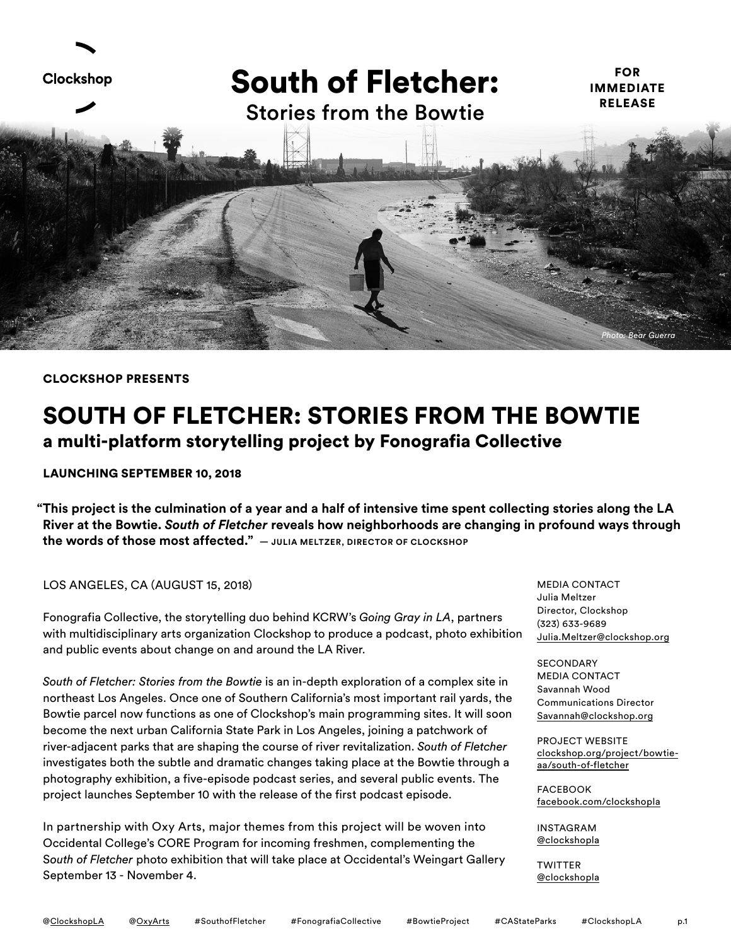

#### CLOCKSHOP PRESENTS

# SOUTH OF FLETCHER: STORIES FROM THE BOWTIE a multi-platform storytelling project by Fonografia Collective

## LAUNCHING SEPTEMBER 10, 2018

**"This project is the culmination of a year and a half of intensive time spent collecting stories along the LA River at the Bowtie.** *South of Fletcher* **reveals how neighborhoods are changing in profound ways through the words of those most affected." — JULIA MELTZER, DIRECTOR OF CLOCKSHOP**

## LOS ANGELES, CA (AUGUST 15, 2018)

Fonografia Collective, the storytelling duo behind KCRW's *Going Gray in LA*, partners with multidisciplinary arts organization Clockshop to produce a podcast, photo exhibition and public events about change on and around the LA River.

*South of Fletcher: Stories from the Bowtie* is an in-depth exploration of a complex site in northeast Los Angeles. Once one of Southern California's most important rail yards, the Bowtie parcel now functions as one of Clockshop's main programming sites. It will soon become the next urban California State Park in Los Angeles, joining a patchwork of river-adjacent parks that are shaping the course of river revitalization. *South of Fletcher* investigates both the subtle and dramatic changes taking place at the Bowtie through a photography exhibition, a five-episode podcast series, and several public events. The project launches September 10 with the release of the first podcast episode.

In partnership with Oxy Arts, major themes from this project will be woven into Occidental College's CORE Program for incoming freshmen, complementing the S*outh of Fletcher* photo exhibition that will take place at Occidental's Weingart Gallery September 13 - November 4.

MEDIA CONTACT Julia Meltzer Director, Clockshop (323) 633-9689 [Julia.Meltzer@clockshop.org](mailto:Julia%40clockshop.org?subject=South%20of%20Fletcher%20Inquiry)

**SECONDARY** MEDIA CONTACT Savannah Wood Communications Director S[avannah@clockshop.org](mailto:savannah%40clockshop.org?subject=South%20of%20Fletcher%20Inquiry)

PROJECT WEBSITE [clockshop.org/project/bowtie](http://clockshop.org/project/bowtie-aa/south-of-fletcher/)[aa/south-of-fletcher](http://clockshop.org/project/bowtie-aa/south-of-fletcher/)

FACEBOOK [facebook.com/clockshopla](http://www.facebook.com/clockshopla)

INSTAGRAM [@clockshopla](http://www.instagram.com/clockshopla)

**TWITTER** [@clockshopla](https://twitter.com/clockshopla)